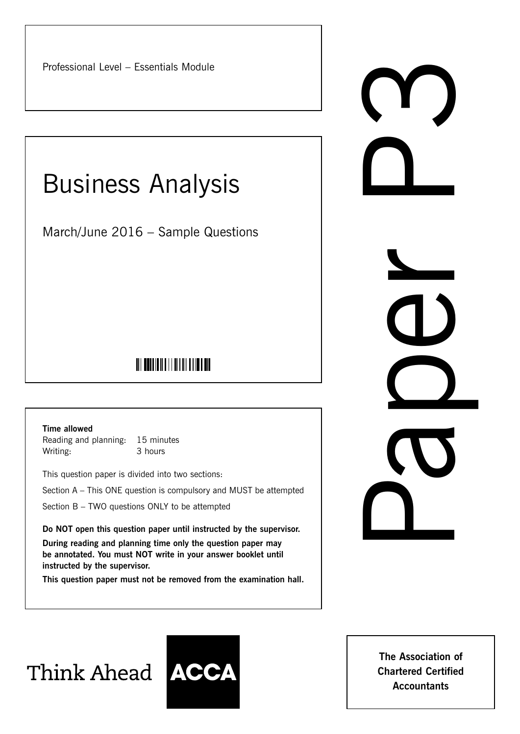Professional Level – Essentials Module

# Business Analysis

March/June 2016 – Sample Questions

# <u> Ali bahlian ali an an an an an </u>

**Time allowed**

Reading and planning: 15 minutes Writing: 3 hours

This question paper is divided into two sections:

Section A – This ONE question is compulsory and MUST be attempted

Section B – TWO questions ONLY to be attempted

**Do NOT open this question paper until instructed by the supervisor.**

**During reading and planning time only the question paper may be annotated. You must NOT write in your answer booklet until instructed by the supervisor.**

**This question paper must not be removed from the examination hall.**

Paper Paper

Think Ahead **ACCA** 



**The Association of Chartered Certified Accountants**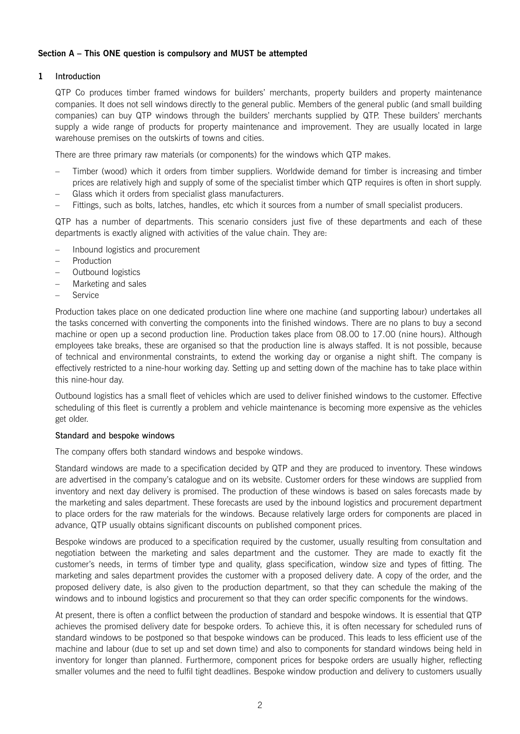# **Section A – This ONE question is compulsory and MUST be attempted**

# **1** Introduction

QTP Co produces timber framed windows for builders' merchants, property builders and property maintenance companies. It does not sell windows directly to the general public. Members of the general public (and small building companies) can buy QTP windows through the builders' merchants supplied by QTP. These builders' merchants supply a wide range of products for property maintenance and improvement. They are usually located in large warehouse premises on the outskirts of towns and cities.

There are three primary raw materials (or components) for the windows which QTP makes.

- Timber (wood) which it orders from timber suppliers. Worldwide demand for timber is increasing and timber prices are relatively high and supply of some of the specialist timber which QTP requires is often in short supply.
- Glass which it orders from specialist glass manufacturers.
- Fittings, such as bolts, latches, handles, etc which it sources from a number of small specialist producers.

QTP has a number of departments. This scenario considers just five of these departments and each of these departments is exactly aligned with activities of the value chain. They are:

- Inbound logistics and procurement
- Production
- Outbound logistics
- Marketing and sales
- Service

Production takes place on one dedicated production line where one machine (and supporting labour) undertakes all the tasks concerned with converting the components into the finished windows. There are no plans to buy a second machine or open up a second production line. Production takes place from 08.00 to 17.00 (nine hours). Although employees take breaks, these are organised so that the production line is always staffed. It is not possible, because of technical and environmental constraints, to extend the working day or organise a night shift. The company is effectively restricted to a nine-hour working day. Setting up and setting down of the machine has to take place within this nine-hour day.

Outbound logistics has a small fleet of vehicles which are used to deliver finished windows to the customer. Effective scheduling of this fleet is currently a problem and vehicle maintenance is becoming more expensive as the vehicles get older.

# Standard and bespoke windows

The company offers both standard windows and bespoke windows.

Standard windows are made to a specification decided by QTP and they are produced to inventory. These windows are advertised in the company's catalogue and on its website. Customer orders for these windows are supplied from inventory and next day delivery is promised. The production of these windows is based on sales forecasts made by the marketing and sales department. These forecasts are used by the inbound logistics and procurement department to place orders for the raw materials for the windows. Because relatively large orders for components are placed in advance, QTP usually obtains significant discounts on published component prices.

Bespoke windows are produced to a specification required by the customer, usually resulting from consultation and negotiation between the marketing and sales department and the customer. They are made to exactly fit the customer's needs, in terms of timber type and quality, glass specification, window size and types of fitting. The marketing and sales department provides the customer with a proposed delivery date. A copy of the order, and the proposed delivery date, is also given to the production department, so that they can schedule the making of the windows and to inbound logistics and procurement so that they can order specific components for the windows.

At present, there is often a conflict between the production of standard and bespoke windows. It is essential that QTP achieves the promised delivery date for bespoke orders. To achieve this, it is often necessary for scheduled runs of standard windows to be postponed so that bespoke windows can be produced. This leads to less efficient use of the machine and labour (due to set up and set down time) and also to components for standard windows being held in inventory for longer than planned. Furthermore, component prices for bespoke orders are usually higher, reflecting smaller volumes and the need to fulfil tight deadlines. Bespoke window production and delivery to customers usually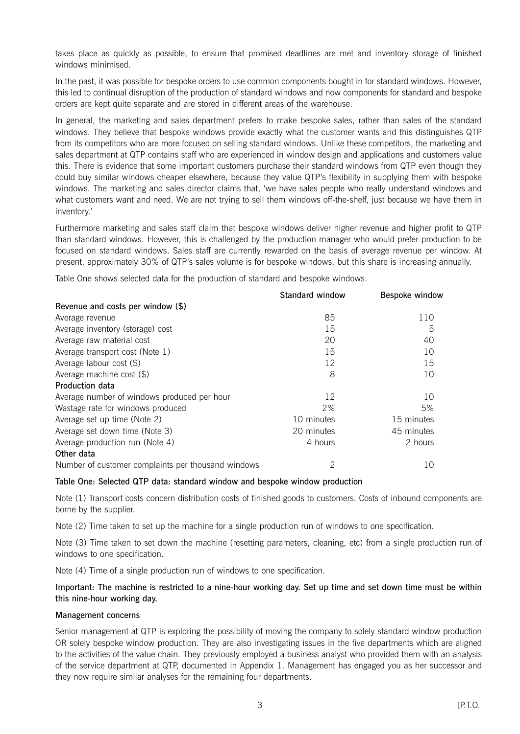takes place as quickly as possible, to ensure that promised deadlines are met and inventory storage of finished windows minimised.

In the past, it was possible for bespoke orders to use common components bought in for standard windows. However, this led to continual disruption of the production of standard windows and now components for standard and bespoke orders are kept quite separate and are stored in different areas of the warehouse.

In general, the marketing and sales department prefers to make bespoke sales, rather than sales of the standard windows. They believe that bespoke windows provide exactly what the customer wants and this distinguishes QTP from its competitors who are more focused on selling standard windows. Unlike these competitors, the marketing and sales department at QTP contains staff who are experienced in window design and applications and customers value this. There is evidence that some important customers purchase their standard windows from QTP even though they could buy similar windows cheaper elsewhere, because they value QTP's flexibility in supplying them with bespoke windows. The marketing and sales director claims that, 'we have sales people who really understand windows and what customers want and need. We are not trying to sell them windows off-the-shelf, just because we have them in inventory.'

Furthermore marketing and sales staff claim that bespoke windows deliver higher revenue and higher profit to QTP than standard windows. However, this is challenged by the production manager who would prefer production to be focused on standard windows. Sales staff are currently rewarded on the basis of average revenue per window. At present, approximately 30% of QTP's sales volume is for bespoke windows, but this share is increasing annually.

Table One shows selected data for the production of standard and bespoke windows.

|                                                    | Standard window | Bespoke window |
|----------------------------------------------------|-----------------|----------------|
| Revenue and costs per window (\$)                  |                 |                |
| Average revenue                                    | 85              | 110            |
| Average inventory (storage) cost                   | 15              | 5              |
| Average raw material cost                          | 20              | 40             |
| Average transport cost (Note 1)                    | 15              | 10             |
| Average labour cost $(\$)$                         | 12              | 15             |
| Average machine cost $(\$)$                        | 8               | 10             |
| Production data                                    |                 |                |
| Average number of windows produced per hour        | 12              | 10             |
| Wastage rate for windows produced                  | 2%              | 5%             |
| Average set up time (Note 2)                       | 10 minutes      | 15 minutes     |
| Average set down time (Note 3)                     | 20 minutes      | 45 minutes     |
| Average production run (Note 4)                    | 4 hours         | 2 hours        |
| Other data                                         |                 |                |
| Number of customer complaints per thousand windows | $\overline{2}$  | 10             |

#### Table One: Selected QTP data: standard window and bespoke window production

Note (1) Transport costs concern distribution costs of finished goods to customers. Costs of inbound components are borne by the supplier.

Note (2) Time taken to set up the machine for a single production run of windows to one specification.

Note (3) Time taken to set down the machine (resetting parameters, cleaning, etc) from a single production run of windows to one specification.

Note (4) Time of a single production run of windows to one specification.

# Important: The machine is restricted to a nine-hour working day. Set up time and set down time must be within this nine-hour working day.

# Management concerns

Senior management at QTP is exploring the possibility of moving the company to solely standard window production OR solely bespoke window production. They are also investigating issues in the five departments which are aligned to the activities of the value chain. They previously employed a business analyst who provided them with an analysis of the service department at QTP, documented in Appendix 1. Management has engaged you as her successor and they now require similar analyses for the remaining four departments.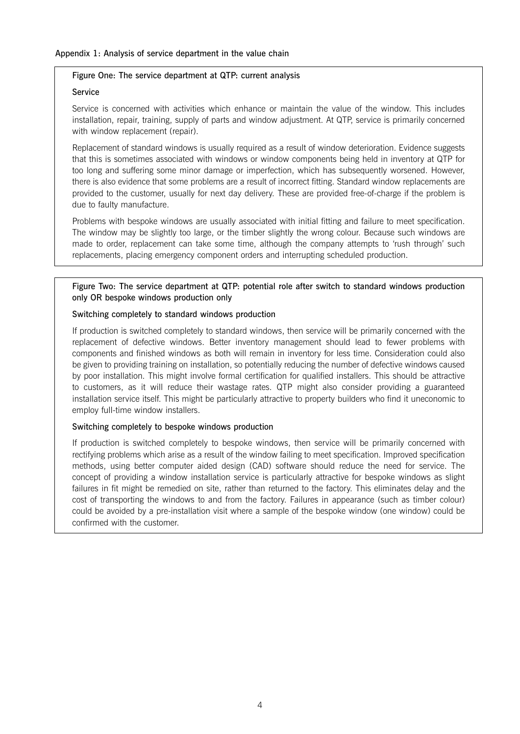#### Figure One: The service department at QTP: current analysis

#### Service

Service is concerned with activities which enhance or maintain the value of the window. This includes installation, repair, training, supply of parts and window adjustment. At QTP, service is primarily concerned with window replacement (repair).

Replacement of standard windows is usually required as a result of window deterioration. Evidence suggests that this is sometimes associated with windows or window components being held in inventory at QTP for too long and suffering some minor damage or imperfection, which has subsequently worsened. However, there is also evidence that some problems are a result of incorrect fitting. Standard window replacements are provided to the customer, usually for next day delivery. These are provided free-of-charge if the problem is due to faulty manufacture.

Problems with bespoke windows are usually associated with initial fitting and failure to meet specification. The window may be slightly too large, or the timber slightly the wrong colour. Because such windows are made to order, replacement can take some time, although the company attempts to 'rush through' such replacements, placing emergency component orders and interrupting scheduled production.

# Figure Two: The service department at QTP: potential role after switch to standard windows production only OR bespoke windows production only

#### Switching completely to standard windows production

If production is switched completely to standard windows, then service will be primarily concerned with the replacement of defective windows. Better inventory management should lead to fewer problems with components and finished windows as both will remain in inventory for less time. Consideration could also be given to providing training on installation, so potentially reducing the number of defective windows caused by poor installation. This might involve formal certification for qualified installers. This should be attractive to customers, as it will reduce their wastage rates. QTP might also consider providing a guaranteed installation service itself. This might be particularly attractive to property builders who find it uneconomic to employ full-time window installers.

#### Switching completely to bespoke windows production

If production is switched completely to bespoke windows, then service will be primarily concerned with rectifying problems which arise as a result of the window failing to meet specification. Improved specification methods, using better computer aided design (CAD) software should reduce the need for service. The concept of providing a window installation service is particularly attractive for bespoke windows as slight failures in fit might be remedied on site, rather than returned to the factory. This eliminates delay and the cost of transporting the windows to and from the factory. Failures in appearance (such as timber colour) could be avoided by a pre-installation visit where a sample of the bespoke window (one window) could be confirmed with the customer.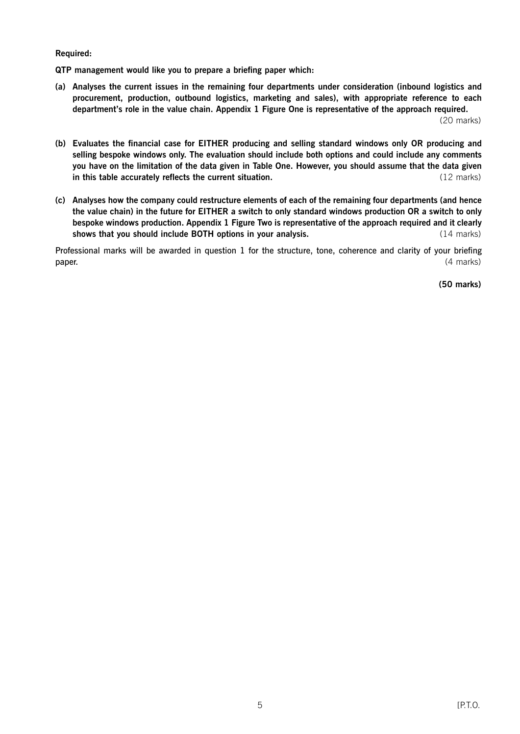#### **Required:**

**QTP management would like you to prepare a briefing paper which:**

**(a) Analyses the current issues in the remaining four departments under consideration (inbound logistics and procurement, production, outbound logistics, marketing and sales), with appropriate reference to each department's role in the value chain. Appendix 1 Figure One is representative of the approach required.** (20 marks)

**(b) Evaluates the financial case for EITHER producing and selling standard windows only OR producing and selling bespoke windows only. The evaluation should include both options and could include any comments you have on the limitation of the data given in Table One. However, you should assume that the data given in this table accurately reflects the current situation.** The contract of the current situation of the current situation. (12 marks)

**(c) Analyses how the company could restructure elements of each of the remaining four departments (and hence the value chain) in the future for EITHER a switch to only standard windows production OR a switch to only bespoke windows production. Appendix 1 Figure Two is representative of the approach required and it clearly shows that you should include BOTH options in your analysis.** (14 marks) (14 marks)

Professional marks will be awarded in question 1 for the structure, tone, coherence and clarity of your briefing **paper.** (4 marks)

**(50 marks)**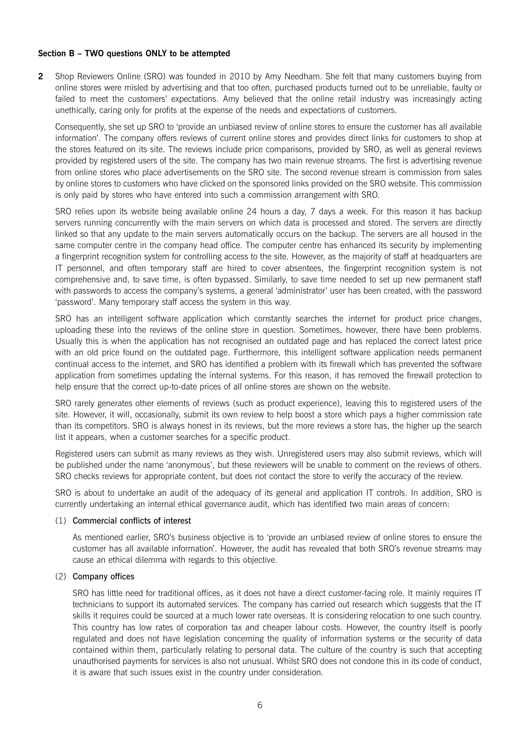### **Section B – TWO questions ONLY to be attempted**

**2** Shop Reviewers Online (SRO) was founded in 2010 by Amy Needham. She felt that many customers buying from online stores were misled by advertising and that too often, purchased products turned out to be unreliable, faulty or failed to meet the customers' expectations. Amy believed that the online retail industry was increasingly acting unethically, caring only for profits at the expense of the needs and expectations of customers.

Consequently, she set up SRO to 'provide an unbiased review of online stores to ensure the customer has all available information'. The company offers reviews of current online stores and provides direct links for customers to shop at the stores featured on its site. The reviews include price comparisons, provided by SRO, as well as general reviews provided by registered users of the site. The company has two main revenue streams. The first is advertising revenue from online stores who place advertisements on the SRO site. The second revenue stream is commission from sales by online stores to customers who have clicked on the sponsored links provided on the SRO website. This commission is only paid by stores who have entered into such a commission arrangement with SRO.

SRO relies upon its website being available online 24 hours a day, 7 days a week. For this reason it has backup servers running concurrently with the main servers on which data is processed and stored. The servers are directly linked so that any update to the main servers automatically occurs on the backup. The servers are all housed in the same computer centre in the company head office. The computer centre has enhanced its security by implementing a fingerprint recognition system for controlling access to the site. However, as the majority of staff at headquarters are IT personnel, and often temporary staff are hired to cover absentees, the fingerprint recognition system is not comprehensive and, to save time, is often bypassed. Similarly, to save time needed to set up new permanent staff with passwords to access the company's systems, a general 'administrator' user has been created, with the password 'password'. Many temporary staff access the system in this way.

SRO has an intelligent software application which constantly searches the internet for product price changes, uploading these into the reviews of the online store in question. Sometimes, however, there have been problems. Usually this is when the application has not recognised an outdated page and has replaced the correct latest price with an old price found on the outdated page. Furthermore, this intelligent software application needs permanent continual access to the internet, and SRO has identified a problem with its firewall which has prevented the software application from sometimes updating the internal systems. For this reason, it has removed the firewall protection to help ensure that the correct up-to-date prices of all online stores are shown on the website.

SRO rarely generates other elements of reviews (such as product experience), leaving this to registered users of the site. However, it will, occasionally, submit its own review to help boost a store which pays a higher commission rate than its competitors. SRO is always honest in its reviews, but the more reviews a store has, the higher up the search list it appears, when a customer searches for a specific product.

Registered users can submit as many reviews as they wish. Unregistered users may also submit reviews, which will be published under the name 'anonymous', but these reviewers will be unable to comment on the reviews of others. SRO checks reviews for appropriate content, but does not contact the store to verify the accuracy of the review.

SRO is about to undertake an audit of the adequacy of its general and application IT controls. In addition, SRO is currently undertaking an internal ethical governance audit, which has identified two main areas of concern:

#### (1) Commercial conflicts of interest

As mentioned earlier, SRO's business objective is to 'provide an unbiased review of online stores to ensure the customer has all available information'. However, the audit has revealed that both SRO's revenue streams may cause an ethical dilemma with regards to this objective.

#### (2) Company offices

SRO has little need for traditional offices, as it does not have a direct customer-facing role. It mainly requires IT technicians to support its automated services. The company has carried out research which suggests that the IT skills it requires could be sourced at a much lower rate overseas. It is considering relocation to one such country. This country has low rates of corporation tax and cheaper labour costs. However, the country itself is poorly regulated and does not have legislation concerning the quality of information systems or the security of data contained within them, particularly relating to personal data. The culture of the country is such that accepting unauthorised payments for services is also not unusual. Whilst SRO does not condone this in its code of conduct, it is aware that such issues exist in the country under consideration.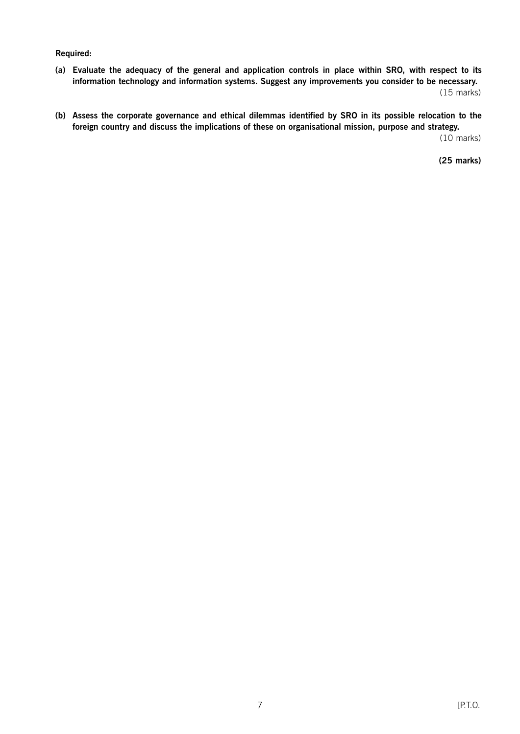#### **Required:**

- **(a) Evaluate the adequacy of the general and application controls in place within SRO, with respect to its information technology and information systems. Suggest any improvements you consider to be necessary.** (15 marks)
- **(b) Assess the corporate governance and ethical dilemmas identified by SRO in its possible relocation to the foreign country and discuss the implications of these on organisational mission, purpose and strategy.**

(10 marks)

**(25 marks)**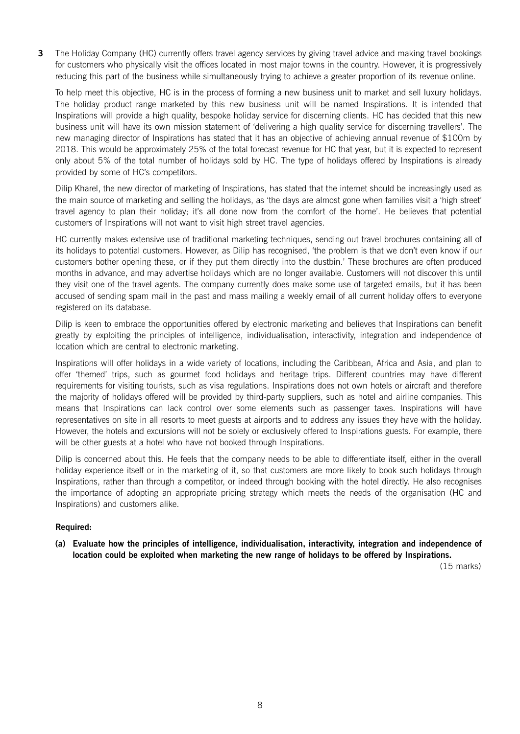**3** The Holiday Company (HC) currently offers travel agency services by giving travel advice and making travel bookings for customers who physically visit the offices located in most major towns in the country. However, it is progressively reducing this part of the business while simultaneously trying to achieve a greater proportion of its revenue online.

To help meet this objective, HC is in the process of forming a new business unit to market and sell luxury holidays. The holiday product range marketed by this new business unit will be named Inspirations. It is intended that Inspirations will provide a high quality, bespoke holiday service for discerning clients. HC has decided that this new business unit will have its own mission statement of 'delivering a high quality service for discerning travellers'. The new managing director of Inspirations has stated that it has an objective of achieving annual revenue of \$100m by 2018. This would be approximately 25% of the total forecast revenue for HC that year, but it is expected to represent only about 5% of the total number of holidays sold by HC. The type of holidays offered by Inspirations is already provided by some of HC's competitors.

Dilip Kharel, the new director of marketing of Inspirations, has stated that the internet should be increasingly used as the main source of marketing and selling the holidays, as 'the days are almost gone when families visit a 'high street' travel agency to plan their holiday; it's all done now from the comfort of the home'. He believes that potential customers of Inspirations will not want to visit high street travel agencies.

HC currently makes extensive use of traditional marketing techniques, sending out travel brochures containing all of its holidays to potential customers. However, as Dilip has recognised, 'the problem is that we don't even know if our customers bother opening these, or if they put them directly into the dustbin.' These brochures are often produced months in advance, and may advertise holidays which are no longer available. Customers will not discover this until they visit one of the travel agents. The company currently does make some use of targeted emails, but it has been accused of sending spam mail in the past and mass mailing a weekly email of all current holiday offers to everyone registered on its database.

Dilip is keen to embrace the opportunities offered by electronic marketing and believes that Inspirations can benefit greatly by exploiting the principles of intelligence, individualisation, interactivity, integration and independence of location which are central to electronic marketing.

Inspirations will offer holidays in a wide variety of locations, including the Caribbean, Africa and Asia, and plan to offer 'themed' trips, such as gourmet food holidays and heritage trips. Different countries may have different requirements for visiting tourists, such as visa regulations. Inspirations does not own hotels or aircraft and therefore the majority of holidays offered will be provided by third-party suppliers, such as hotel and airline companies. This means that Inspirations can lack control over some elements such as passenger taxes. Inspirations will have representatives on site in all resorts to meet guests at airports and to address any issues they have with the holiday. However, the hotels and excursions will not be solely or exclusively offered to Inspirations guests. For example, there will be other guests at a hotel who have not booked through Inspirations.

Dilip is concerned about this. He feels that the company needs to be able to differentiate itself, either in the overall holiday experience itself or in the marketing of it, so that customers are more likely to book such holidays through Inspirations, rather than through a competitor, or indeed through booking with the hotel directly. He also recognises the importance of adopting an appropriate pricing strategy which meets the needs of the organisation (HC and Inspirations) and customers alike.

# **Required:**

**(a) Evaluate how the principles of intelligence, individualisation, interactivity, integration and independence of location could be exploited when marketing the new range of holidays to be offered by Inspirations.**

(15 marks)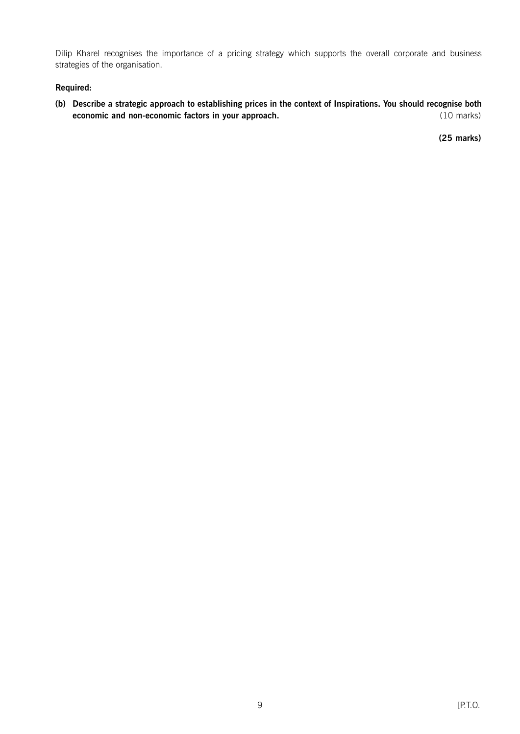Dilip Kharel recognises the importance of a pricing strategy which supports the overall corporate and business strategies of the organisation.

# **Required:**

**(b) Describe a strategic approach to establishing prices in the context of Inspirations. You should recognise both economic and non-economic factors in your approach.** (10 marks) (10 marks)

**(25 marks)**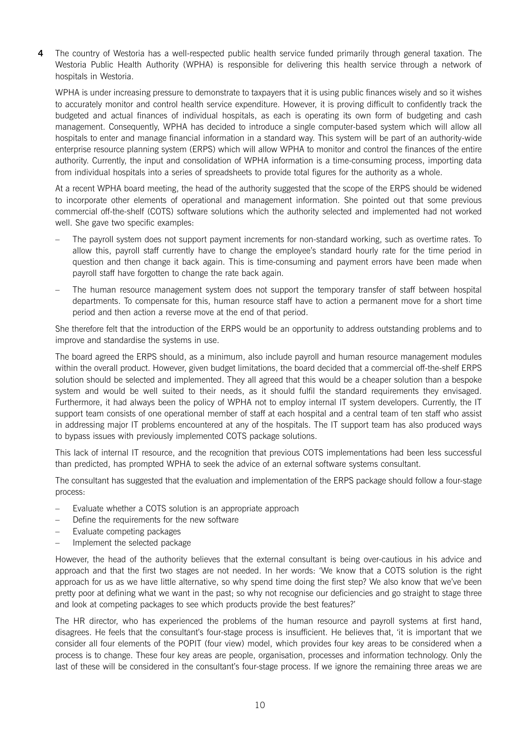**4** The country of Westoria has a well-respected public health service funded primarily through general taxation. The Westoria Public Health Authority (WPHA) is responsible for delivering this health service through a network of hospitals in Westoria.

WPHA is under increasing pressure to demonstrate to taxpayers that it is using public finances wisely and so it wishes to accurately monitor and control health service expenditure. However, it is proving difficult to confidently track the budgeted and actual finances of individual hospitals, as each is operating its own form of budgeting and cash management. Consequently, WPHA has decided to introduce a single computer-based system which will allow all hospitals to enter and manage financial information in a standard way. This system will be part of an authority-wide enterprise resource planning system (ERPS) which will allow WPHA to monitor and control the finances of the entire authority. Currently, the input and consolidation of WPHA information is a time-consuming process, importing data from individual hospitals into a series of spreadsheets to provide total figures for the authority as a whole.

At a recent WPHA board meeting, the head of the authority suggested that the scope of the ERPS should be widened to incorporate other elements of operational and management information. She pointed out that some previous commercial off-the-shelf (COTS) software solutions which the authority selected and implemented had not worked well. She gave two specific examples:

- The payroll system does not support payment increments for non-standard working, such as overtime rates. To allow this, payroll staff currently have to change the employee's standard hourly rate for the time period in question and then change it back again. This is time-consuming and payment errors have been made when payroll staff have forgotten to change the rate back again.
- The human resource management system does not support the temporary transfer of staff between hospital departments. To compensate for this, human resource staff have to action a permanent move for a short time period and then action a reverse move at the end of that period.

She therefore felt that the introduction of the ERPS would be an opportunity to address outstanding problems and to improve and standardise the systems in use.

The board agreed the ERPS should, as a minimum, also include payroll and human resource management modules within the overall product. However, given budget limitations, the board decided that a commercial off-the-shelf ERPS solution should be selected and implemented. They all agreed that this would be a cheaper solution than a bespoke system and would be well suited to their needs, as it should fulfil the standard requirements they envisaged. Furthermore, it had always been the policy of WPHA not to employ internal IT system developers. Currently, the IT support team consists of one operational member of staff at each hospital and a central team of ten staff who assist in addressing major IT problems encountered at any of the hospitals. The IT support team has also produced ways to bypass issues with previously implemented COTS package solutions.

This lack of internal IT resource, and the recognition that previous COTS implementations had been less successful than predicted, has prompted WPHA to seek the advice of an external software systems consultant.

The consultant has suggested that the evaluation and implementation of the ERPS package should follow a four-stage process:

- Evaluate whether a COTS solution is an appropriate approach
- Define the requirements for the new software
- Evaluate competing packages
- Implement the selected package

However, the head of the authority believes that the external consultant is being over-cautious in his advice and approach and that the first two stages are not needed. In her words: 'We know that a COTS solution is the right approach for us as we have little alternative, so why spend time doing the first step? We also know that we've been pretty poor at defining what we want in the past; so why not recognise our deficiencies and go straight to stage three and look at competing packages to see which products provide the best features?'

The HR director, who has experienced the problems of the human resource and payroll systems at first hand, disagrees. He feels that the consultant's four-stage process is insufficient. He believes that, 'it is important that we consider all four elements of the POPIT (four view) model, which provides four key areas to be considered when a process is to change. These four key areas are people, organisation, processes and information technology. Only the last of these will be considered in the consultant's four-stage process. If we ignore the remaining three areas we are